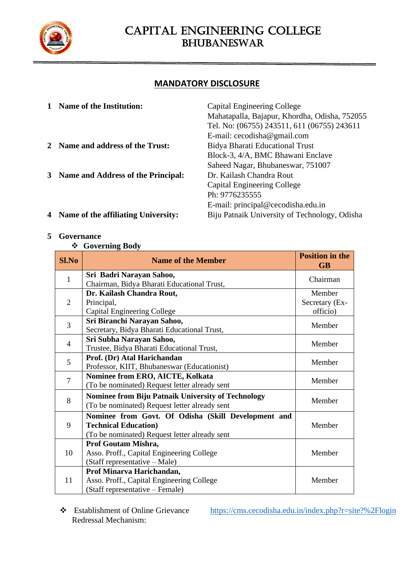

### **MANDATORY DISCLOSURE**

| <b>Name of the Institution:</b>       | Capital Engineering College                   |
|---------------------------------------|-----------------------------------------------|
|                                       | Mahatapalla, Bajapur, Khordha, Odisha, 752055 |
|                                       | Tel. No: (06755) 243511, 611 (06755) 243611   |
|                                       | E-mail: $cecodisha@gmail.com$                 |
| Name and address of the Trust:        | Bidya Bharati Educational Trust               |
|                                       | Block-3, 4/A, BMC Bhawani Enclave             |
|                                       | Saheed Nagar, Bhubaneswar, 751007             |
| 3 Name and Address of the Principal:  | Dr. Kailash Chandra Rout                      |
|                                       | Capital Engineering College                   |
|                                       | Ph: 9776235555                                |
|                                       | E-mail: principal@cecodisha.edu.in            |
| 4 Name of the affiliating University: | Biju Patnaik University of Technology, Odisha |
|                                       |                                               |

### **5 Governance**

#### ❖ **Governing Body**

| <b>Sl.No</b>   | <b>Name of the Member</b>                                                                                                           | <b>Position in the</b><br><b>GB</b>  |
|----------------|-------------------------------------------------------------------------------------------------------------------------------------|--------------------------------------|
| $\mathbf{1}$   | Sri Badri Narayan Sahoo,<br>Chairman, Bidya Bharati Educational Trust,                                                              | Chairman                             |
| $\overline{2}$ | Dr. Kailash Chandra Rout,<br>Principal,<br>Capital Engineering College                                                              | Member<br>Secretary (Ex-<br>officio) |
| $\overline{3}$ | Sri Biranchi Narayan Sahoo,<br>Secretary, Bidya Bharati Educational Trust,                                                          | Member                               |
| $\overline{4}$ | Sri Subha Narayan Sahoo,<br>Trustee, Bidya Bharati Educational Trust,                                                               | Member                               |
| 5              | Prof. (Dr) Atal Harichandan<br>Professor, KIIT, Bhubaneswar (Educationist)                                                          | Member                               |
| $\overline{7}$ | Nominee from ERO, AICTE, Kolkata<br>(To be nominated) Request letter already sent                                                   | Member                               |
| 8              | <b>Nominee from Biju Patnaik University of Technology</b><br>(To be nominated) Request letter already sent                          | Member                               |
| 9              | Nominee from Govt. Of Odisha (Skill Development and<br><b>Technical Education)</b><br>(To be nominated) Request letter already sent | Member                               |
| 10             | Prof Goutam Mishra,<br>Asso. Proff., Capital Engineering College<br>(Staff representative – Male)                                   | Member                               |
| 11             | Prof Minarva Harichandan,<br>Asso. Proff., Capital Engineering College<br>(Staff representative – Female)                           | Member                               |

❖ Establishment of Online Grievance Redressal Mechanism:

<https://cms.cecodisha.edu.in/index.php?r=site?%2Flogin>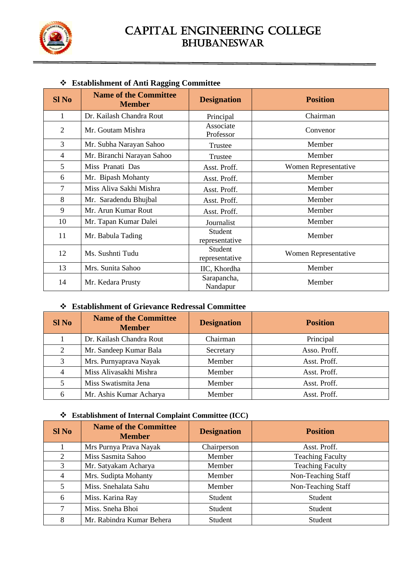

### **Sl No Name of the Committee Designation Position** 1 Dr. Kailash Chandra Rout Principal Chairman 2 Mr. Goutam Mishra Associate<br>Professor Convenor 3 | Mr. Subha Narayan Sahoo | Trustee | Member 4 Mr. Biranchi Narayan Sahoo Trustee Nember 5 | Miss Pranati Das | Asst. Proff. | Women Representative 6 | Mr. Bipash Mohanty | Asst. Proff. | Member 7 | Miss Aliva Sakhi Mishra | Asst. Proff. | Member 8 | Mr. Saradendu Bhujbal | Asst. Proff. | Member 9 | Mr. Arun Kumar Rout | Asst. Proff. | Member 10 | Mr. Tapan Kumar Dalei | Journalist | Member 11 Mr. Babula Tading Student representative Member 12 Ms. Sushnti Tudu Student<br>
Representative Women Representative 13 | Mrs. Sunita Sahoo IIC, Khordha | Member 14 Mr. Kedara Prusty Sarapancha, Nandapur Nandapur Member

#### ❖ **Establishment of Anti Ragging Committee**

#### ❖ **Establishment of Grievance Redressal Committee**

| $SI$ No        | <b>Name of the Committee</b><br><b>Member</b> | <b>Designation</b> | <b>Position</b> |
|----------------|-----------------------------------------------|--------------------|-----------------|
|                | Dr. Kailash Chandra Rout                      | Chairman           | Principal       |
| 2              | Mr. Sandeep Kumar Bala                        | Secretary          | Asso. Proff.    |
| 3              | Mrs. Purnyaprava Nayak                        | Member             | Asst. Proff.    |
| $\overline{4}$ | Miss Alivasakhi Mishra                        | Member             | Asst. Proff.    |
|                | Miss Swatismita Jena                          | Member             | Asst. Proff.    |
| 6              | Mr. Ashis Kumar Acharya                       | Member             | Asst. Proff.    |

#### ❖ **Establishment of Internal Complaint Committee (ICC)**

| $SI$ No        | <b>Name of the Committee</b><br><b>Member</b> | <b>Designation</b> | <b>Position</b>         |  |  |
|----------------|-----------------------------------------------|--------------------|-------------------------|--|--|
|                | Mrs Purnya Prava Nayak                        | Chairperson        | Asst. Proff.            |  |  |
| $\mathfrak{D}$ | Miss Sasmita Sahoo                            | Member             | <b>Teaching Faculty</b> |  |  |
| 3              | Mr. Satyakam Acharya                          | Member             | <b>Teaching Faculty</b> |  |  |
|                | Mrs. Sudipta Mohanty                          | Member             | Non-Teaching Staff      |  |  |
| 5              | Miss. Snehalata Sahu                          | Member             | Non-Teaching Staff      |  |  |
| 6              | Miss. Karina Ray                              | Student            | Student                 |  |  |
|                | Miss. Sneha Bhoi                              | Student            | Student                 |  |  |
| 8              | Mr. Rabindra Kumar Behera                     | Student            | Student                 |  |  |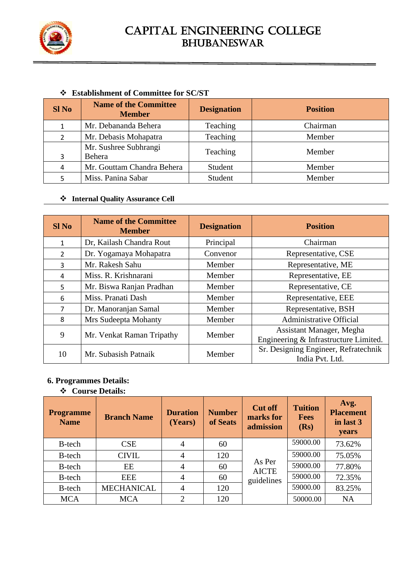

### ❖ **Establishment of Committee for SC/ST**

| <b>SINo</b> | <b>Name of the Committee</b><br><b>Member</b> | <b>Designation</b> | <b>Position</b> |
|-------------|-----------------------------------------------|--------------------|-----------------|
|             | Mr. Debananda Behera                          | Teaching           | Chairman        |
|             | Mr. Debasis Mohapatra                         | Teaching           | Member          |
| 3           | Mr. Sushree Subhrangi<br>Behera               | Teaching           | Member          |
| 4           | Mr. Gouttam Chandra Behera                    | Student            | Member          |
|             | Miss. Panina Sabar                            | Student            | Member          |

#### ❖ **Internal Quality Assurance Cell**

| <b>SI No</b>   | <b>Name of the Committee</b><br><b>Member</b> | <b>Designation</b> | <b>Position</b>                                                   |
|----------------|-----------------------------------------------|--------------------|-------------------------------------------------------------------|
| 1              | Dr, Kailash Chandra Rout                      | Principal          | Chairman                                                          |
| $\mathfrak{D}$ | Dr. Yogamaya Mohapatra                        | Convenor           | Representative, CSE                                               |
| 3              | Mr. Rakesh Sahu                               | Member             | Representative, ME                                                |
| 4              | Miss. R. Krishnarani                          | Member             | Representative, EE                                                |
| 5              | Mr. Biswa Ranjan Pradhan                      | Member             | Representative, CE                                                |
| 6              | Miss. Pranati Dash                            | Member             | Representative, EEE                                               |
| 7              | Dr. Manoranjan Samal                          | Member             | Representative, BSH                                               |
| 8              | Mrs Sudeepta Mohanty                          | Member             | <b>Administrative Official</b>                                    |
| 9              | Mr. Venkat Raman Tripathy                     | Member             | Assistant Manager, Megha<br>Engineering & Infrastructure Limited. |
| 10             | Mr. Subasish Patnaik                          | Member             | Sr. Designing Engineer, Refratechnik<br>India Pvt. Ltd.           |

### **6. Programmes Details:**

❖ **Course Details:**

| <b>Programme</b><br><b>Name</b> | <b>Branch Name</b> | <b>Duration</b><br>(Years)  | <b>Number</b><br>of Seats | <b>Cut off</b><br>marks for<br>admission | <b>Tuition</b><br><b>Fees</b><br>(Rs) | Avg.<br><b>Placement</b><br>in last 3<br>years |
|---------------------------------|--------------------|-----------------------------|---------------------------|------------------------------------------|---------------------------------------|------------------------------------------------|
| B-tech                          | CSE                | 4                           | 60                        |                                          | 59000.00                              | 73.62%                                         |
| B-tech                          | <b>CIVIL</b>       | $\overline{4}$              | 120                       | As Per<br><b>AICTE</b>                   | 59000.00                              | 75.05%                                         |
| B-tech                          | EE                 | $\overline{4}$              | 60                        |                                          | 59000.00                              | 77.80%                                         |
| <b>B-tech</b>                   | EEE                | 4                           | 60                        | guidelines                               | 59000.00                              | 72.35%                                         |
| B-tech                          | <b>MECHANICAL</b>  | 4                           | 120                       |                                          | 59000.00                              | 83.25%                                         |
| <b>MCA</b>                      | <b>MCA</b>         | $\mathcal{D}_{\mathcal{L}}$ | 120                       |                                          | 50000.00                              | <b>NA</b>                                      |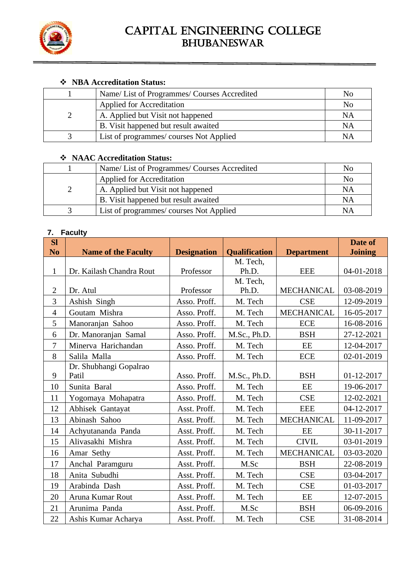

### ❖ **NBA Accreditation Status:**

| Name/ List of Programmes/ Courses Accredited | No |
|----------------------------------------------|----|
| <b>Applied for Accreditation</b>             | No |
| A. Applied but Visit not happened            | NA |
| B. Visit happened but result awaited         | NA |
| List of programmes/courses Not Applied       | NΑ |

### ❖ **NAAC Accreditation Status:**

| Name/ List of Programmes/ Courses Accredited | No |
|----------------------------------------------|----|
| <b>Applied for Accreditation</b>             | No |
| A. Applied but Visit not happened            | ΝA |
| B. Visit happened but result awaited         | NA |
| List of programmes/courses Not Applied       | NΑ |

### **7. Faculty**

| <b>Sl</b>      |                            |                    |                      |                   | Date of        |
|----------------|----------------------------|--------------------|----------------------|-------------------|----------------|
| N <sub>0</sub> | <b>Name of the Faculty</b> | <b>Designation</b> | <b>Qualification</b> | <b>Department</b> | <b>Joining</b> |
|                |                            |                    | M. Tech,             |                   |                |
| $\mathbf{1}$   | Dr. Kailash Chandra Rout   | Professor          | Ph.D.                | <b>EEE</b>        | 04-01-2018     |
|                |                            |                    | M. Tech,             |                   |                |
| $\overline{2}$ | Dr. Atul                   | Professor          | Ph.D.                | <b>MECHANICAL</b> | 03-08-2019     |
| 3              | Ashish Singh               | Asso. Proff.       | M. Tech              | <b>CSE</b>        | 12-09-2019     |
| $\overline{4}$ | Goutam Mishra              | Asso. Proff.       | M. Tech              | <b>MECHANICAL</b> | 16-05-2017     |
| 5              | Manoranjan Sahoo           | Asso. Proff.       | M. Tech              | <b>ECE</b>        | 16-08-2016     |
| 6              | Dr. Manoranjan Samal       | Asso. Proff.       | M.Sc., Ph.D.         | <b>BSH</b>        | 27-12-2021     |
| $\tau$         | Minerva Harichandan        | Asso. Proff.       | M. Tech              | EE                | 12-04-2017     |
| 8              | Salila Malla               | Asso. Proff.       | M. Tech              | <b>ECE</b>        | 02-01-2019     |
|                | Dr. Shubhangi Gopalrao     |                    |                      |                   |                |
| 9              | Patil                      | Asso. Proff.       | M.Sc., Ph.D.         | <b>BSH</b>        | 01-12-2017     |
| 10             | Sunita Baral               | Asso. Proff.       | M. Tech              | EE                | 19-06-2017     |
| 11             | Yogomaya Mohapatra         | Asso. Proff.       | M. Tech              | <b>CSE</b>        | 12-02-2021     |
| 12             | Abhisek Gantayat           | Asst. Proff.       | M. Tech              | <b>EEE</b>        | 04-12-2017     |
| 13             | Abinash Sahoo              | Asst. Proff.       | M. Tech              | <b>MECHANICAL</b> | 11-09-2017     |
| 14             | Achyutananda Panda         | Asst. Proff.       | M. Tech              | EE                | 30-11-2017     |
| 15             | Alivasakhi Mishra          | Asst. Proff.       | M. Tech              | <b>CIVIL</b>      | 03-01-2019     |
| 16             | Amar Sethy                 | Asst. Proff.       | M. Tech              | <b>MECHANICAL</b> | 03-03-2020     |
| 17             | Anchal Paramguru           | Asst. Proff.       | M.Sc                 | <b>BSH</b>        | 22-08-2019     |
| 18             | Anita Subudhi              | Asst. Proff.       | M. Tech              | <b>CSE</b>        | 03-04-2017     |
| 19             | Arabinda Dash              | Asst. Proff.       | M. Tech              | <b>CSE</b>        | 01-03-2017     |
| 20             | Aruna Kumar Rout           | Asst. Proff.       | M. Tech              | EE                | 12-07-2015     |
| 21             | Arunima Panda              | Asst. Proff.       | M.Sc                 | <b>BSH</b>        | 06-09-2016     |
| 22             | Ashis Kumar Acharya        | Asst. Proff.       | M. Tech              | <b>CSE</b>        | 31-08-2014     |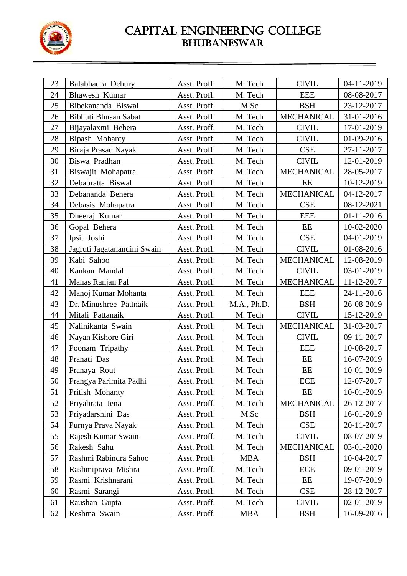

| 23 | Balabhadra Dehury           | Asst. Proff. | M. Tech     | <b>CIVIL</b>      | 04-11-2019 |
|----|-----------------------------|--------------|-------------|-------------------|------------|
| 24 | Bhawesh Kumar               | Asst. Proff. | M. Tech     | <b>EEE</b>        | 08-08-2017 |
| 25 | Bibekananda Biswal          | Asst. Proff. | M.Sc        | <b>BSH</b>        | 23-12-2017 |
| 26 | Bibhuti Bhusan Sabat        | Asst. Proff. | M. Tech     | <b>MECHANICAL</b> | 31-01-2016 |
| 27 | Bijayalaxmi Behera          | Asst. Proff. | M. Tech     | <b>CIVIL</b>      | 17-01-2019 |
| 28 | Bipash Mohanty              | Asst. Proff. | M. Tech     | <b>CIVIL</b>      | 01-09-2016 |
| 29 | Biraja Prasad Nayak         | Asst. Proff. | M. Tech     | <b>CSE</b>        | 27-11-2017 |
| 30 | Biswa Pradhan               | Asst. Proff. | M. Tech     | <b>CIVIL</b>      | 12-01-2019 |
| 31 | Biswajit Mohapatra          | Asst. Proff. | M. Tech     | <b>MECHANICAL</b> | 28-05-2017 |
| 32 | Debabratta Biswal           | Asst. Proff. | M. Tech     | EE                | 10-12-2019 |
| 33 | Debananda Behera            | Asst. Proff. | M. Tech     | <b>MECHANICAL</b> | 04-12-2017 |
| 34 | Debasis Mohapatra           | Asst. Proff. | M. Tech     | <b>CSE</b>        | 08-12-2021 |
| 35 | Dheeraj Kumar               | Asst. Proff. | M. Tech     | <b>EEE</b>        | 01-11-2016 |
| 36 | Gopal Behera                | Asst. Proff. | M. Tech     | EE                | 10-02-2020 |
| 37 | Ipsit Joshi                 | Asst. Proff. | M. Tech     | <b>CSE</b>        | 04-01-2019 |
| 38 | Jagruti Jagatanandini Swain | Asst. Proff. | M. Tech     | <b>CIVIL</b>      | 01-08-2016 |
| 39 | Kabi Sahoo                  | Asst. Proff. | M. Tech     | MECHANICAL        | 12-08-2019 |
| 40 | Kankan Mandal               | Asst. Proff. | M. Tech     | <b>CIVIL</b>      | 03-01-2019 |
| 41 | Manas Ranjan Pal            | Asst. Proff. | M. Tech     | <b>MECHANICAL</b> | 11-12-2017 |
| 42 | Manoj Kumar Mohanta         | Asst. Proff. | M. Tech     | <b>EEE</b>        | 24-11-2016 |
| 43 | Dr. Minushree Pattnaik      | Asst. Proff. | M.A., Ph.D. | <b>BSH</b>        | 26-08-2019 |
| 44 | Mitali Pattanaik            | Asst. Proff. | M. Tech     | <b>CIVIL</b>      | 15-12-2019 |
| 45 | Nalinikanta Swain           | Asst. Proff. | M. Tech     | MECHANICAL        | 31-03-2017 |
| 46 | Nayan Kishore Giri          | Asst. Proff. | M. Tech     | <b>CIVIL</b>      | 09-11-2017 |
| 47 | Poonam Tripathy             | Asst. Proff. | M. Tech     | <b>EEE</b>        | 10-08-2017 |
| 48 | Pranati Das                 | Asst. Proff. | M. Tech     | EE                | 16-07-2019 |
| 49 | Pranaya Rout                | Asst. Proff. | M. Tech     | EE                | 10-01-2019 |
| 50 | Prangya Parimita Padhi      | Asst. Proff. | M. Tech     | <b>ECE</b>        | 12-07-2017 |
| 51 | Pritish Mohanty             | Asst. Proff. | M. Tech     | EE                | 10-01-2019 |
| 52 | Priyabrata Jena             | Asst. Proff. | M. Tech     | <b>MECHANICAL</b> | 26-12-2017 |
| 53 | Priyadarshini Das           | Asst. Proff. | M.Sc        | <b>BSH</b>        | 16-01-2019 |
| 54 | Purnya Prava Nayak          | Asst. Proff. | M. Tech     | <b>CSE</b>        | 20-11-2017 |
| 55 | Rajesh Kumar Swain          | Asst. Proff. | M. Tech     | <b>CIVIL</b>      | 08-07-2019 |
| 56 | Rakesh Sahu                 | Asst. Proff. | M. Tech     | MECHANICAL        | 03-01-2020 |
| 57 | Rashmi Rabindra Sahoo       | Asst. Proff. | <b>MBA</b>  | <b>BSH</b>        | 10-04-2017 |
| 58 | Rashmiprava Mishra          | Asst. Proff. | M. Tech     | <b>ECE</b>        | 09-01-2019 |
| 59 | Rasmi Krishnarani           | Asst. Proff. | M. Tech     | EE                | 19-07-2019 |
| 60 | Rasmi Sarangi               | Asst. Proff. | M. Tech     | <b>CSE</b>        | 28-12-2017 |
| 61 | Raushan Gupta               | Asst. Proff. | M. Tech     | <b>CIVIL</b>      | 02-01-2019 |
| 62 | Reshma Swain                | Asst. Proff. | MBA         | <b>BSH</b>        | 16-09-2016 |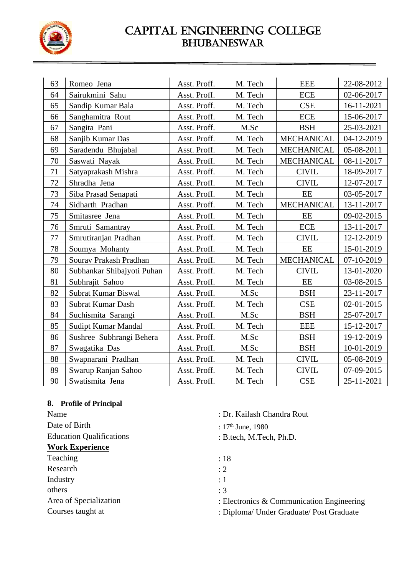

| 63 | Romeo Jena                 | Asst. Proff. | M. Tech | <b>EEE</b>        | 22-08-2012 |
|----|----------------------------|--------------|---------|-------------------|------------|
| 64 | Sairukmini Sahu            | Asst. Proff. | M. Tech | <b>ECE</b>        | 02-06-2017 |
| 65 | Sandip Kumar Bala          | Asst. Proff. | M. Tech | <b>CSE</b>        | 16-11-2021 |
| 66 | Sanghamitra Rout           | Asst. Proff. | M. Tech | <b>ECE</b>        | 15-06-2017 |
| 67 | Sangita Pani               | Asst. Proff. | M.Sc    | <b>BSH</b>        | 25-03-2021 |
| 68 | Sanjib Kumar Das           | Asst. Proff. | M. Tech | <b>MECHANICAL</b> | 04-12-2019 |
| 69 | Saradendu Bhujabal         | Asst. Proff. | M. Tech | <b>MECHANICAL</b> | 05-08-2011 |
| 70 | Saswati Nayak              | Asst. Proff. | M. Tech | <b>MECHANICAL</b> | 08-11-2017 |
| 71 | Satyaprakash Mishra        | Asst. Proff. | M. Tech | <b>CIVIL</b>      | 18-09-2017 |
| 72 | Shradha Jena               | Asst. Proff. | M. Tech | <b>CIVIL</b>      | 12-07-2017 |
| 73 | Siba Prasad Senapati       | Asst. Proff. | M. Tech | EE                | 03-05-2017 |
| 74 | Sidharth Pradhan           | Asst. Proff. | M. Tech | <b>MECHANICAL</b> | 13-11-2017 |
| 75 | Smitasree Jena             | Asst. Proff. | M. Tech | $\rm{EE}$         | 09-02-2015 |
| 76 | Smruti Samantray           | Asst. Proff. | M. Tech | <b>ECE</b>        | 13-11-2017 |
| 77 | Smrutiranjan Pradhan       | Asst. Proff. | M. Tech | <b>CIVIL</b>      | 12-12-2019 |
| 78 | Soumya Mohanty             | Asst. Proff. | M. Tech | EE                | 15-01-2019 |
| 79 | Sourav Prakash Pradhan     | Asst. Proff. | M. Tech | <b>MECHANICAL</b> | 07-10-2019 |
| 80 | Subhankar Shibajyoti Puhan | Asst. Proff. | M. Tech | <b>CIVIL</b>      | 13-01-2020 |
| 81 | Subhrajit Sahoo            | Asst. Proff. | M. Tech | EE                | 03-08-2015 |
| 82 | Subrat Kumar Biswal        | Asst. Proff. | M.Sc    | <b>BSH</b>        | 23-11-2017 |
| 83 | <b>Subrat Kumar Dash</b>   | Asst. Proff. | M. Tech | <b>CSE</b>        | 02-01-2015 |
| 84 | Suchismita Sarangi         | Asst. Proff. | M.Sc    | <b>BSH</b>        | 25-07-2017 |
| 85 | Sudipt Kumar Mandal        | Asst. Proff. | M. Tech | <b>EEE</b>        | 15-12-2017 |
| 86 | Sushree Subhrangi Behera   | Asst. Proff. | M.Sc    | <b>BSH</b>        | 19-12-2019 |
| 87 | Swagatika Das              | Asst. Proff. | M.Sc    | <b>BSH</b>        | 10-01-2019 |
| 88 | Swapnarani Pradhan         | Asst. Proff. | M. Tech | <b>CIVIL</b>      | 05-08-2019 |
| 89 | Swarup Ranjan Sahoo        | Asst. Proff. | M. Tech | <b>CIVIL</b>      | 07-09-2015 |
| 90 | Swatismita Jena            | Asst. Proff. | M. Tech | <b>CSE</b>        | 25-11-2021 |

### **8. Profile of Principal**

| Name                            | : Dr. Kailash Chandra Rout                  |
|---------------------------------|---------------------------------------------|
| Date of Birth                   | : $17th$ June, 1980                         |
| <b>Education Qualifications</b> | : B.tech, M.Tech, Ph.D.                     |
| <b>Work Experience</b>          |                                             |
| Teaching                        | :18                                         |
| Research                        | $\div 2$                                    |
| Industry                        | $\colon 1$                                  |
| others                          | : 3                                         |
| Area of Specialization          | : Electronics $&$ Communication Engineering |
| Courses taught at               | : Diploma/ Under Graduate/ Post Graduate    |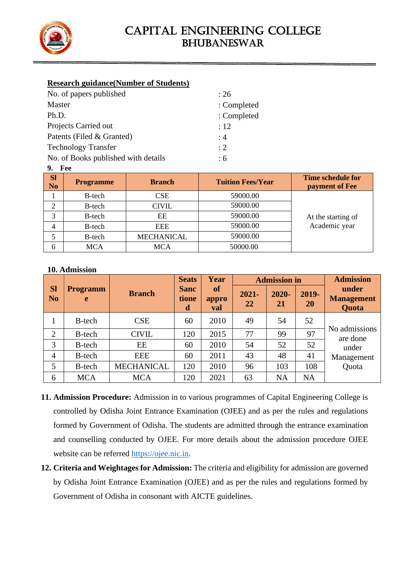

#### **Research guidance(Number of Students)**

| : 26        |
|-------------|
| : Completed |
| : Completed |
| :12         |
| : 4         |
| $\cdot$ 2   |
| : 6         |
|             |

#### **9. Fee**

| .                           |                  |                   |                          |                                            |
|-----------------------------|------------------|-------------------|--------------------------|--------------------------------------------|
| <b>Sl</b><br>N <sub>o</sub> | <b>Programme</b> | <b>Branch</b>     | <b>Tuition Fees/Year</b> | <b>Time schedule for</b><br>payment of Fee |
|                             | B-tech           | <b>CSE</b>        | 59000.00                 |                                            |
| 2                           | B-tech           | <b>CIVIL</b>      | 59000.00                 |                                            |
| 3                           | B-tech           | EE                | 59000.00                 | At the starting of                         |
| 4                           | B-tech           | <b>EEE</b>        | 59000.00                 | Academic year                              |
|                             | B-tech           | <b>MECHANICAL</b> | 59000.00                 |                                            |
| 6                           | <b>MCA</b>       | <b>MCA</b>        | 50000.00                 |                                            |

#### **10. Admission**

|                             |                      |                   | <b>Seats</b>              | Year                             |                | <b>Admission in</b> |             | <b>Admission</b>                    |
|-----------------------------|----------------------|-------------------|---------------------------|----------------------------------|----------------|---------------------|-------------|-------------------------------------|
| <b>Sl</b><br>N <sub>o</sub> | <b>Programm</b><br>e | <b>Branch</b>     | <b>Sanc</b><br>tione<br>d | <b>of</b><br>appro<br><b>val</b> | $2021 -$<br>22 | $2020 -$<br>21      | 2019-<br>20 | under<br><b>Management</b><br>Quota |
| 1                           | B-tech               | <b>CSE</b>        | 60                        | 2010                             | 49             | 54                  | 52          |                                     |
| $\overline{2}$              | B-tech               | <b>CIVIL</b>      | 120                       | 2015                             | 77             | 99                  | 97          | No admissions<br>are done           |
| 3                           | B-tech               | EE                | 60                        | 2010                             | 54             | 52                  | 52          | under                               |
| $\overline{4}$              | B-tech               | <b>EEE</b>        | 60                        | 2011                             | 43             | 48                  | 41          | Management                          |
| 5                           | B-tech               | <b>MECHANICAL</b> | 120                       | 2010                             | 96             | 103                 | 108         | Quota                               |
| 6                           | <b>MCA</b>           | <b>MCA</b>        | 120                       | 2021                             | 63             | <b>NA</b>           | <b>NA</b>   |                                     |

- **11. Admission Procedure:** Admission in to various programmes of Capital Engineering College is controlled by Odisha Joint Entrance Examination (OJEE) and as per the rules and regulations formed by Government of Odisha. The students are admitted through the entrance examination and counselling conducted by OJEE. For more details about the admission procedure OJEE website can be referred [https://ojee.nic.in.](https://ojee.nic.in/)
- **12. Criteria and Weightages for Admission:** The criteria and eligibility for admission are governed by Odisha Joint Entrance Examination (OJEE) and as per the rules and regulations formed by Government of Odisha in consonant with AICTE guidelines.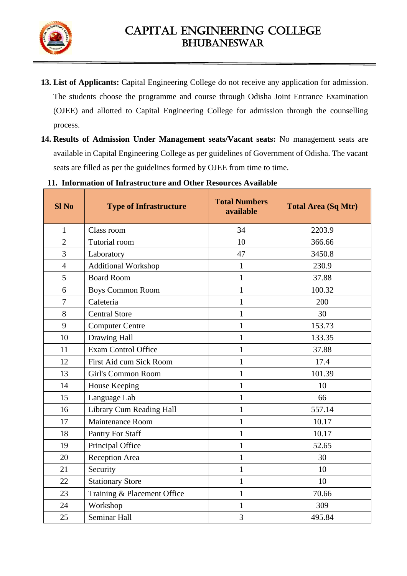

- **13. List of Applicants:** Capital Engineering College do not receive any application for admission. The students choose the programme and course through Odisha Joint Entrance Examination (OJEE) and allotted to Capital Engineering College for admission through the counselling process.
- **14. Results of Admission Under Management seats/Vacant seats:** No management seats are available in Capital Engineering College as per guidelines of Government of Odisha. The vacant seats are filled as per the guidelines formed by OJEE from time to time.

| <b>Sl No</b>   | <b>Type of Infrastructure</b> | <b>Total Numbers</b><br>available | <b>Total Area (Sq Mtr)</b> |
|----------------|-------------------------------|-----------------------------------|----------------------------|
| 1              | Class room                    | 34                                | 2203.9                     |
| $\overline{2}$ | Tutorial room                 | 10                                | 366.66                     |
| 3              | Laboratory                    | 47                                | 3450.8                     |
| $\overline{4}$ | <b>Additional Workshop</b>    | $\mathbf{1}$                      | 230.9                      |
| 5              | <b>Board Room</b>             | $\mathbf{1}$                      | 37.88                      |
| 6              | Boys Common Room              | $\mathbf{1}$                      | 100.32                     |
| 7              | Cafeteria                     | $\mathbf{1}$                      | 200                        |
| 8              | <b>Central Store</b>          | $\mathbf{1}$                      | 30                         |
| 9              | <b>Computer Centre</b>        | $\mathbf{1}$                      | 153.73                     |
| 10             | <b>Drawing Hall</b>           | $\mathbf{1}$                      | 133.35                     |
| 11             | Exam Control Office           | $\mathbf{1}$                      | 37.88                      |
| 12             | First Aid cum Sick Room       | $\mathbf{1}$                      | 17.4                       |
| 13             | Girl's Common Room            | $\mathbf{1}$                      | 101.39                     |
| 14             | House Keeping                 | $\mathbf{1}$                      | 10                         |
| 15             | Language Lab                  | $\mathbf{1}$                      | 66                         |
| 16             | Library Cum Reading Hall      | $\mathbf{1}$                      | 557.14                     |
| 17             | <b>Maintenance Room</b>       | $\mathbf{1}$                      | 10.17                      |
| 18             | Pantry For Staff              | $\mathbf{1}$                      | 10.17                      |
| 19             | Principal Office              | $\mathbf{1}$                      | 52.65                      |
| 20             | Reception Area                | $\mathbf{1}$                      | 30                         |
| 21             | Security                      | $\mathbf{1}$                      | 10                         |
| 22             | <b>Stationary Store</b>       | $\mathbf{1}$                      | 10                         |
| 23             | Training & Placement Office   | $\mathbf{1}$                      | 70.66                      |
| 24             | Workshop                      | $\mathbf{1}$                      | 309                        |
| 25             | Seminar Hall                  | 3                                 | 495.84                     |

**11. Information of Infrastructure and Other Resources Available**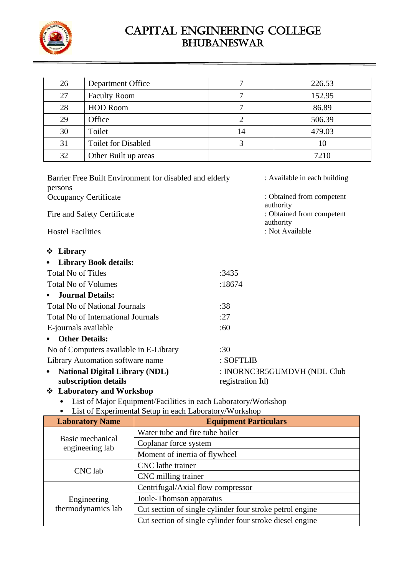

| 26 | Department Office          |    | 226.53 |
|----|----------------------------|----|--------|
| 27 | <b>Faculty Room</b>        |    | 152.95 |
| 28 | <b>HOD Room</b>            |    | 86.89  |
| 29 | Office                     |    | 506.39 |
| 30 | Toilet                     | 14 | 479.03 |
| 31 | <b>Toilet for Disabled</b> |    | 10     |
| 32 | Other Built up areas       |    | 7210   |

| Barrier Free Built Environment for disabled and elderly<br>persons |                  | : Available in each building                        |
|--------------------------------------------------------------------|------------------|-----------------------------------------------------|
| <b>Occupancy Certificate</b>                                       |                  | : Obtained from competent                           |
| Fire and Safety Certificate                                        |                  | authority<br>: Obtained from competent<br>authority |
| <b>Hostel Facilities</b>                                           |                  | : Not Available                                     |
| ❖ Library                                                          |                  |                                                     |
| <b>Library Book details:</b>                                       |                  |                                                     |
| <b>Total No of Titles</b>                                          | :3435            |                                                     |
| <b>Total No of Volumes</b>                                         | :18674           |                                                     |
| <b>Journal Details:</b><br>$\bullet$                               |                  |                                                     |
| <b>Total No of National Journals</b>                               | :38              |                                                     |
| <b>Total No of International Journals</b>                          | :27              |                                                     |
| E-journals available                                               | :60              |                                                     |
| <b>Other Details:</b>                                              |                  |                                                     |
| No of Computers available in E-Library                             | :30              |                                                     |
| Library Automation software name                                   | : SOFTLIB        |                                                     |
| <b>National Digital Library (NDL)</b><br>$\bullet$                 |                  | : INORNC3R5GUMDVH (NDL Club                         |
| subscription details                                               | registration Id) |                                                     |
| <b>Laboratory and Workshop</b><br>❖                                |                  |                                                     |
| List of Major Equipment/Facilities in each Laboratory/Workshop     |                  |                                                     |

• List of Experimental Setup in each Laboratory/Workshop

| <b>Laboratory Name</b>              | <b>Equipment Particulars</b>                             |  |
|-------------------------------------|----------------------------------------------------------|--|
| Basic mechanical<br>engineering lab | Water tube and fire tube boiler                          |  |
|                                     | Coplanar force system                                    |  |
|                                     | Moment of inertia of flywheel                            |  |
| CNC lab                             | CNC lathe trainer                                        |  |
|                                     | CNC milling trainer                                      |  |
|                                     | Centrifugal/Axial flow compressor                        |  |
| Engineering<br>thermodynamics lab   | Joule-Thomson apparatus                                  |  |
|                                     | Cut section of single cylinder four stroke petrol engine |  |
|                                     | Cut section of single cylinder four stroke diesel engine |  |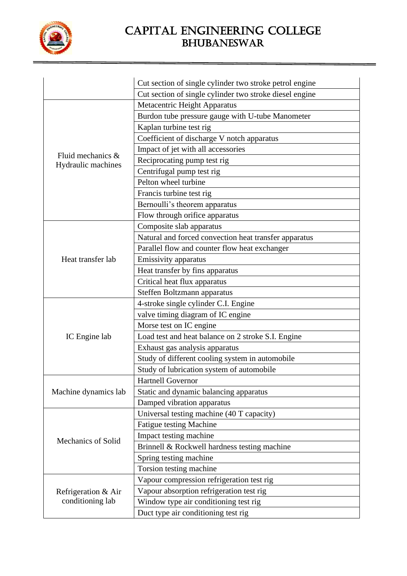

|                      | Cut section of single cylinder two stroke petrol engine |
|----------------------|---------------------------------------------------------|
|                      | Cut section of single cylinder two stroke diesel engine |
|                      | Metacentric Height Apparatus                            |
|                      | Burdon tube pressure gauge with U-tube Manometer        |
|                      | Kaplan turbine test rig                                 |
|                      | Coefficient of discharge V notch apparatus              |
|                      | Impact of jet with all accessories                      |
| Fluid mechanics &    | Reciprocating pump test rig                             |
| Hydraulic machines   | Centrifugal pump test rig                               |
|                      | Pelton wheel turbine                                    |
|                      | Francis turbine test rig                                |
|                      | Bernoulli's theorem apparatus                           |
|                      | Flow through orifice apparatus                          |
|                      | Composite slab apparatus                                |
|                      | Natural and forced convection heat transfer apparatus   |
|                      | Parallel flow and counter flow heat exchanger           |
| Heat transfer lab    | Emissivity apparatus                                    |
|                      | Heat transfer by fins apparatus                         |
|                      | Critical heat flux apparatus                            |
|                      | Steffen Boltzmann apparatus                             |
|                      | 4-stroke single cylinder C.I. Engine                    |
|                      | valve timing diagram of IC engine                       |
|                      | Morse test on IC engine                                 |
| IC Engine lab        | Load test and heat balance on 2 stroke S.I. Engine      |
|                      | Exhaust gas analysis apparatus                          |
|                      | Study of different cooling system in automobile         |
|                      | Study of lubrication system of automobile               |
|                      | <b>Hartnell Governor</b>                                |
| Machine dynamics lab | Static and dynamic balancing apparatus                  |
|                      | Damped vibration apparatus                              |
|                      | Universal testing machine (40 T capacity)               |
|                      | Fatigue testing Machine                                 |
| Mechanics of Solid   | Impact testing machine                                  |
|                      | Brinnell & Rockwell hardness testing machine            |
|                      | Spring testing machine                                  |
|                      | Torsion testing machine                                 |
|                      | Vapour compression refrigeration test rig               |
| Refrigeration & Air  | Vapour absorption refrigeration test rig                |
| conditioning lab     | Window type air conditioning test rig                   |
|                      | Duct type air conditioning test rig                     |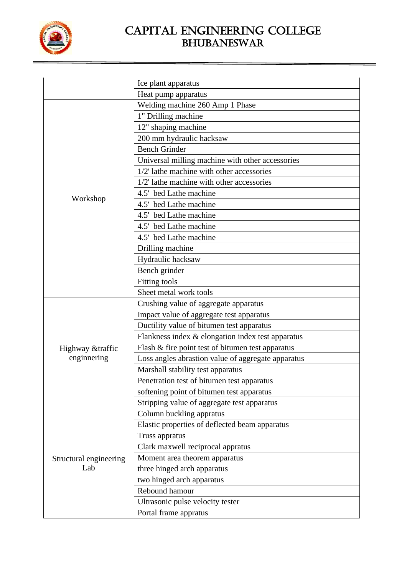

|                        | Ice plant apparatus                                |
|------------------------|----------------------------------------------------|
|                        | Heat pump apparatus                                |
|                        | Welding machine 260 Amp 1 Phase                    |
|                        | 1" Drilling machine                                |
|                        | 12" shaping machine                                |
|                        | 200 mm hydraulic hacksaw                           |
|                        | <b>Bench Grinder</b>                               |
|                        | Universal milling machine with other accessories   |
|                        | 1/2' lathe machine with other accessories          |
|                        | 1/2' lathe machine with other accessories          |
|                        | 4.5' bed Lathe machine                             |
| Workshop               | 4.5' bed Lathe machine                             |
|                        | 4.5' bed Lathe machine                             |
|                        | 4.5' bed Lathe machine                             |
|                        | 4.5' bed Lathe machine                             |
|                        | Drilling machine                                   |
|                        | Hydraulic hacksaw                                  |
|                        | Bench grinder                                      |
|                        | Fitting tools                                      |
|                        | Sheet metal work tools                             |
|                        | Crushing value of aggregate apparatus              |
|                        | Impact value of aggregate test apparatus           |
|                        | Ductility value of bitumen test apparatus          |
|                        | Flankness index & elongation index test apparatus  |
| Highway &traffic       | Flash & fire point test of bitumen test apparatus  |
| enginnering            | Loss angles abrastion value of aggregate apparatus |
|                        | Marshall stability test apparatus                  |
|                        | Penetration test of bitumen test apparatus         |
|                        | softening point of bitumen test apparatus          |
|                        | Stripping value of aggregate test apparatus        |
|                        | Column buckling appratus                           |
| Structural engineering | Elastic properties of deflected beam apparatus     |
|                        | Truss appratus                                     |
|                        | Clark maxwell reciprocal appratus                  |
|                        | Moment area theorem apparatus                      |
| Lab                    | three hinged arch apparatus                        |
|                        | two hinged arch apparatus                          |
|                        | Rebound hamour                                     |
|                        | Ultrasonic pulse velocity tester                   |
|                        | Portal frame appratus                              |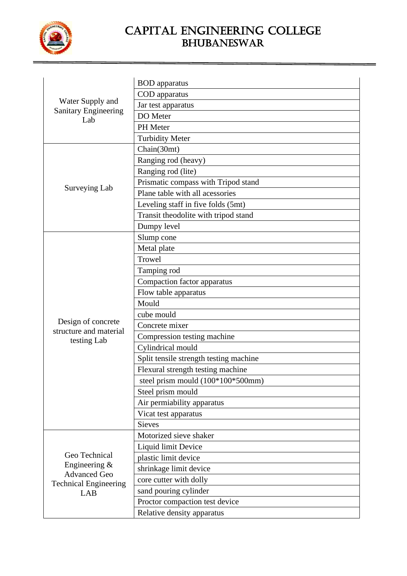

| Water Supply and                                                              | <b>BOD</b> apparatus                   |
|-------------------------------------------------------------------------------|----------------------------------------|
|                                                                               | COD apparatus                          |
|                                                                               | Jar test apparatus                     |
| <b>Sanitary Engineering</b><br>Lab                                            | DO Meter                               |
|                                                                               | PH Meter                               |
|                                                                               | <b>Turbidity Meter</b>                 |
|                                                                               | Chain(30mt)                            |
|                                                                               | Ranging rod (heavy)                    |
|                                                                               | Ranging rod (lite)                     |
|                                                                               | Prismatic compass with Tripod stand    |
| Surveying Lab                                                                 | Plane table with all acessories        |
|                                                                               | Leveling staff in five folds (5mt)     |
|                                                                               | Transit theodolite with tripod stand   |
|                                                                               | Dumpy level                            |
|                                                                               | Slump cone                             |
|                                                                               | Metal plate                            |
|                                                                               | Trowel                                 |
|                                                                               | Tamping rod                            |
|                                                                               | Compaction factor apparatus            |
|                                                                               | Flow table apparatus                   |
|                                                                               | Mould                                  |
|                                                                               | cube mould                             |
| Design of concrete<br>structure and material                                  | Concrete mixer                         |
| testing Lab                                                                   | Compression testing machine            |
|                                                                               | Cylindrical mould                      |
|                                                                               | Split tensile strength testing machine |
|                                                                               | Flexural strength testing machine      |
|                                                                               | steel prism mould (100*100*500mm)      |
|                                                                               | Steel prism mould                      |
|                                                                               | Air permiability apparatus             |
|                                                                               | Vicat test apparatus                   |
|                                                                               | <b>Sieves</b>                          |
|                                                                               | Motorized sieve shaker                 |
|                                                                               | Liquid limit Device                    |
| Geo Technical                                                                 | plastic limit device                   |
| Engineering $&$<br><b>Advanced Geo</b><br><b>Technical Engineering</b><br>LAB | shrinkage limit device                 |
|                                                                               | core cutter with dolly                 |
|                                                                               | sand pouring cylinder                  |
|                                                                               | Proctor compaction test device         |
|                                                                               | Relative density apparatus             |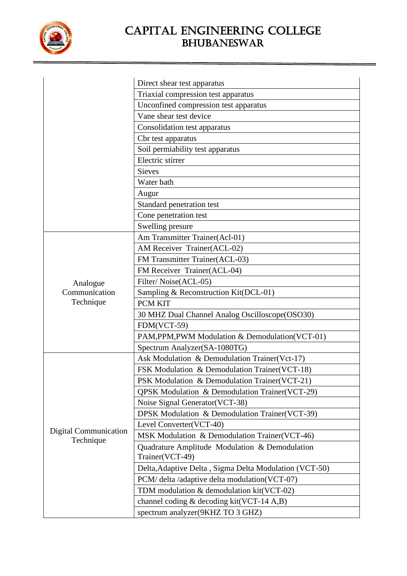

|                                    | Direct shear test apparatus                                       |
|------------------------------------|-------------------------------------------------------------------|
|                                    | Triaxial compression test apparatus                               |
|                                    | Unconfined compression test apparatus                             |
|                                    | Vane shear test device                                            |
|                                    | Consolidation test apparatus                                      |
|                                    | Cbr test apparatus                                                |
|                                    | Soil permiability test apparatus                                  |
|                                    | Electric stirrer                                                  |
|                                    | <b>Sieves</b>                                                     |
|                                    | Water bath                                                        |
|                                    | Augur                                                             |
|                                    | Standard penetration test                                         |
|                                    | Cone penetration test                                             |
|                                    | Swelling presure                                                  |
|                                    | Am Transmitter Trainer(Acl-01)                                    |
|                                    | AM Receiver Trainer(ACL-02)                                       |
|                                    | FM Transmitter Trainer(ACL-03)                                    |
|                                    | FM Receiver Trainer(ACL-04)                                       |
| Analogue                           | Filter/Noise(ACL-05)                                              |
| Communication                      | Sampling & Reconstruction Kit(DCL-01)                             |
| Technique                          | <b>PCM KIT</b>                                                    |
|                                    | 30 MHZ Dual Channel Analog Oscilloscope(OSO30)                    |
|                                    | FDM(VCT-59)                                                       |
|                                    | PAM, PPM, PWM Modulation & Demodulation (VCT-01)                  |
|                                    | Spectrum Analyzer(SA-1080TG)                                      |
|                                    | Ask Modulation & Demodulation Trainer(Vct-17)                     |
|                                    | FSK Modulation & Demodulation Trainer(VCT-18)                     |
|                                    | PSK Modulation & Demodulation Trainer(VCT-21)                     |
|                                    | <b>QPSK</b> Modulation & Demodulation Trainer(VCT-29)             |
|                                    | Noise Signal Generator (VCT-38)                                   |
|                                    | DPSK Modulation & Demodulation Trainer(VCT-39)                    |
|                                    | Level Converter(VCT-40)                                           |
| Digital Communication<br>Technique | MSK Modulation & Demodulation Trainer(VCT-46)                     |
|                                    | Quadrature Amplitude Modulation & Demodulation<br>Trainer(VCT-49) |
|                                    | Delta, Adaptive Delta, Sigma Delta Modulation (VCT-50)            |
|                                    | PCM/ delta /adaptive delta modulation(VCT-07)                     |
|                                    | TDM modulation & demodulation kit(VCT-02)                         |
|                                    | channel coding & decoding kit(VCT-14 A,B)                         |
|                                    | spectrum analyzer(9KHZ TO 3 GHZ)                                  |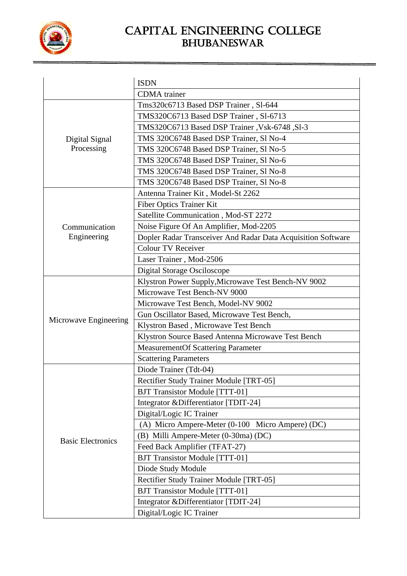

|                          | <b>ISDN</b>                                                  |
|--------------------------|--------------------------------------------------------------|
|                          | <b>CDMA</b> trainer                                          |
|                          | Tms320c6713 Based DSP Trainer, Sl-644                        |
|                          | TMS320C6713 Based DSP Trainer, S1-6713                       |
|                          | TMS320C6713 Based DSP Trainer, Vsk-6748, Sl-3                |
| Digital Signal           | TMS 320C6748 Based DSP Trainer, Sl No-4                      |
| Processing               | TMS 320C6748 Based DSP Trainer, Sl No-5                      |
|                          | TMS 320C6748 Based DSP Trainer, Sl No-6                      |
|                          | TMS 320C6748 Based DSP Trainer, Sl No-8                      |
|                          | TMS 320C6748 Based DSP Trainer, Sl No-8                      |
|                          | Antenna Trainer Kit, Model-St 2262                           |
|                          | Fiber Optics Trainer Kit                                     |
|                          | Satellite Communication, Mod-ST 2272                         |
| Communication            | Noise Figure Of An Amplifier, Mod-2205                       |
| Engineering              | Dopler Radar Transceiver And Radar Data Acquisition Software |
|                          | <b>Colour TV Receiver</b>                                    |
|                          | Laser Trainer, Mod-2506                                      |
|                          | <b>Digital Storage Osciloscope</b>                           |
|                          | Klystron Power Supply, Microwave Test Bench-NV 9002          |
|                          | Microwave Test Bench-NV 9000                                 |
|                          | Microwave Test Bench, Model-NV 9002                          |
|                          | Gun Oscillator Based, Microwave Test Bench,                  |
| Microwave Engineering    | Klystron Based, Microwave Test Bench                         |
|                          | Klystron Source Based Antenna Microwave Test Bench           |
|                          | <b>MeasurementOf Scattering Parameter</b>                    |
|                          | <b>Scattering Parameters</b>                                 |
|                          | Diode Trainer (Tdt-04)                                       |
|                          | Rectifier Study Trainer Module [TRT-05]                      |
|                          | <b>BJT Transistor Module [TTT-01]</b>                        |
|                          | Integrator &Differentiator [TDIT-24]                         |
|                          | Digital/Logic IC Trainer                                     |
|                          | (A) Micro Ampere-Meter (0-100 Micro Ampere) (DC)             |
|                          | (B) Milli Ampere-Meter (0-30ma) (DC)                         |
| <b>Basic Electronics</b> | Feed Back Amplifier (TFAT-27)                                |
|                          | <b>BJT Transistor Module [TTT-01]</b>                        |
|                          | Diode Study Module                                           |
|                          | Rectifier Study Trainer Module [TRT-05]                      |
|                          | <b>BJT Transistor Module [TTT-01]</b>                        |
|                          | Integrator & Differentiator [TDIT-24]                        |
|                          | Digital/Logic IC Trainer                                     |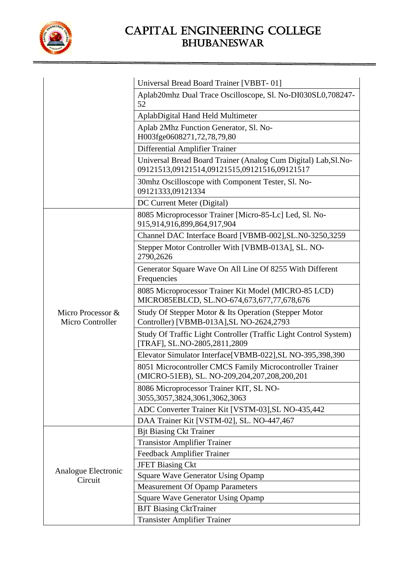

|                                       | Universal Bread Board Trainer [VBBT-01]                                                                         |
|---------------------------------------|-----------------------------------------------------------------------------------------------------------------|
|                                       | Aplab20mhz Dual Trace Oscilloscope, Sl. No-DI030SL0,708247-<br>52                                               |
|                                       | AplabDigital Hand Held Multimeter                                                                               |
|                                       | Aplab 2Mhz Function Generator, Sl. No-<br>H003fge0608271,72,78,79,80                                            |
|                                       | Differential Amplifier Trainer                                                                                  |
|                                       | Universal Bread Board Trainer (Analog Cum Digital) Lab, Sl. No-<br>09121513,09121514,09121515,09121516,09121517 |
|                                       | 30mhz Oscilloscope with Component Tester, Sl. No-<br>09121333,09121334                                          |
|                                       | DC Current Meter (Digital)                                                                                      |
|                                       | 8085 Microprocessor Trainer [Micro-85-Lc] Led, Sl. No-<br>915,914,916,899,864,917,904                           |
|                                       | Channel DAC Interface Board [VBMB-002], SL.N0-3250, 3259                                                        |
|                                       | Stepper Motor Controller With [VBMB-013A], SL. NO-<br>2790,2626                                                 |
|                                       | Generator Square Wave On All Line Of 8255 With Different<br>Frequencies                                         |
|                                       | 8085 Microprocessor Trainer Kit Model (MICRO-85 LCD)<br>MICRO85EBLCD, SL.NO-674,673,677,77,678,676              |
| Micro Processor &<br>Micro Controller | Study Of Stepper Motor & Its Operation (Stepper Motor<br>Controller) [VBMB-013A], SL NO-2624, 2793              |
|                                       | Study Of Traffic Light Controller (Traffic Light Control System)<br>[TRAF], SL.NO-2805,2811,2809                |
|                                       | Elevator Simulator Interface[VBMB-022], SL NO-395, 398, 390                                                     |
|                                       | 8051 Microcontroller CMCS Family Microcontroller Trainer<br>(MICRO-51EB), SL. NO-209,204,207,208,200,201        |
|                                       | 8086 Microprocessor Trainer KIT, SL NO-<br>3055,3057,3824,3061,3062,3063                                        |
|                                       | ADC Converter Trainer Kit [VSTM-03], SL NO-435, 442                                                             |
|                                       | DAA Trainer Kit [VSTM-02], SL. NO-447,467                                                                       |
|                                       | <b>Bjt Biasing Ckt Trainer</b>                                                                                  |
|                                       | <b>Transistor Amplifier Trainer</b>                                                                             |
|                                       | <b>Feedback Amplifier Trainer</b>                                                                               |
| Analogue Electronic                   | <b>JFET Biasing Ckt</b>                                                                                         |
| Circuit                               | <b>Square Wave Generator Using Opamp</b>                                                                        |
|                                       | <b>Measurement Of Opamp Parameters</b>                                                                          |
|                                       | <b>Square Wave Generator Using Opamp</b>                                                                        |
|                                       | <b>BJT Biasing CktTrainer</b>                                                                                   |
|                                       | <b>Transister Amplifier Trainer</b>                                                                             |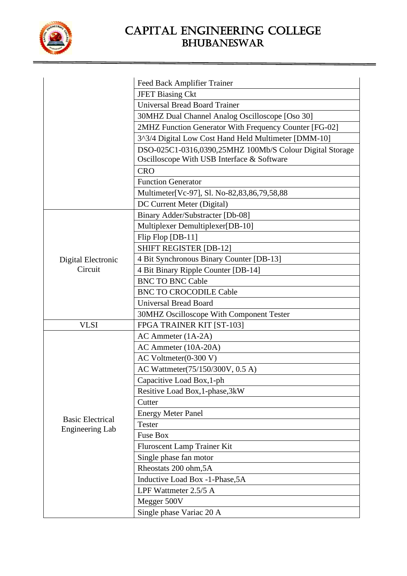

|                         | Feed Back Amplifier Trainer                                                                            |
|-------------------------|--------------------------------------------------------------------------------------------------------|
|                         | <b>JFET Biasing Ckt</b>                                                                                |
|                         | <b>Universal Bread Board Trainer</b>                                                                   |
|                         | 30MHZ Dual Channel Analog Oscilloscope [Oso 30]                                                        |
|                         | 2MHZ Function Generator With Frequency Counter [FG-02]                                                 |
|                         | 3^3/4 Digital Low Cost Hand Held Multimeter [DMM-10]                                                   |
|                         | DSO-025C1-0316,0390,25MHZ 100Mb/S Colour Digital Storage<br>Oscilloscope With USB Interface & Software |
|                         | <b>CRO</b>                                                                                             |
|                         | <b>Function Generator</b>                                                                              |
|                         | Multimeter[Vc-97], Sl. No-82,83,86,79,58,88                                                            |
|                         | DC Current Meter (Digital)                                                                             |
|                         | Binary Adder/Substracter [Db-08]                                                                       |
|                         | Multiplexer Demultiplexer[DB-10]                                                                       |
|                         | Flip Flop [DB-11]                                                                                      |
|                         | <b>SHIFT REGISTER [DB-12]</b>                                                                          |
| Digital Electronic      | 4 Bit Synchronous Binary Counter [DB-13]                                                               |
| Circuit                 | 4 Bit Binary Ripple Counter [DB-14]                                                                    |
|                         | <b>BNC TO BNC Cable</b>                                                                                |
|                         | <b>BNC TO CROCODILE Cable</b>                                                                          |
|                         | <b>Universal Bread Board</b>                                                                           |
|                         | 30MHZ Oscilloscope With Component Tester                                                               |
| <b>VLSI</b>             | FPGA TRAINER KIT [ST-103]                                                                              |
|                         | $AC$ Ammeter $(1A-2A)$                                                                                 |
|                         | AC Ammeter (10A-20A)                                                                                   |
|                         | $AC$ Voltmeter $(0-300$ V)                                                                             |
|                         | AC Wattmeter(75/150/300V, 0.5 A)                                                                       |
|                         | Capacitive Load Box, 1-ph                                                                              |
|                         | Resitive Load Box, 1-phase, 3kW                                                                        |
|                         | Cutter                                                                                                 |
| <b>Basic Electrical</b> | <b>Energy Meter Panel</b>                                                                              |
| <b>Engineering Lab</b>  | <b>Tester</b>                                                                                          |
|                         | <b>Fuse Box</b>                                                                                        |
|                         | Fluroscent Lamp Trainer Kit                                                                            |
|                         | Single phase fan motor                                                                                 |
|                         | Rheostats 200 ohm, 5A                                                                                  |
|                         | Inductive Load Box -1-Phase, 5A                                                                        |
|                         | LPF Wattmeter 2.5/5 A                                                                                  |
|                         | Megger 500V                                                                                            |
|                         | Single phase Variac 20 A                                                                               |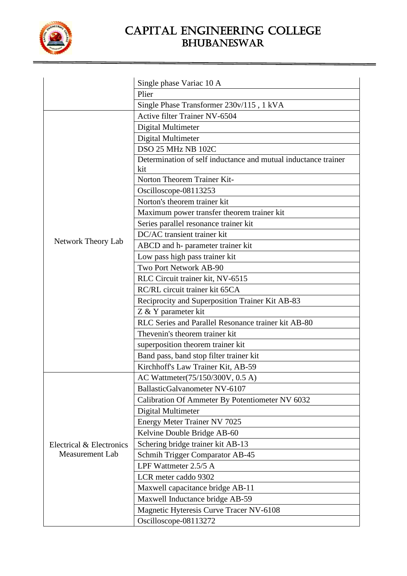

|                          | Single phase Variac 10 A                                       |
|--------------------------|----------------------------------------------------------------|
|                          | Plier                                                          |
|                          | Single Phase Transformer 230v/115, 1 kVA                       |
|                          | <b>Active filter Trainer NV-6504</b>                           |
|                          | Digital Multimeter                                             |
|                          | Digital Multimeter                                             |
|                          | DSO 25 MHz NB 102C                                             |
|                          | Determination of self inductance and mutual inductance trainer |
|                          | kit                                                            |
|                          | Norton Theorem Trainer Kit-                                    |
|                          | Oscilloscope-08113253                                          |
|                          | Norton's theorem trainer kit                                   |
|                          | Maximum power transfer theorem trainer kit                     |
|                          | Series parallel resonance trainer kit                          |
|                          | DC/AC transient trainer kit                                    |
| Network Theory Lab       | ABCD and h- parameter trainer kit                              |
|                          | Low pass high pass trainer kit                                 |
|                          | Two Port Network AB-90                                         |
|                          | RLC Circuit trainer kit, NV-6515                               |
|                          | RC/RL circuit trainer kit 65CA                                 |
|                          | Reciprocity and Superposition Trainer Kit AB-83                |
|                          | Z & Y parameter kit                                            |
|                          | RLC Series and Parallel Resonance trainer kit AB-80            |
|                          | Thevenin's theorem trainer kit                                 |
|                          | superposition theorem trainer kit                              |
|                          | Band pass, band stop filter trainer kit                        |
|                          | Kirchhoff's Law Trainer Kit, AB-59                             |
|                          | AC Wattmeter(75/150/300V, 0.5 A)                               |
|                          | BallasticGalvanometer NV-6107                                  |
|                          | Calibration Of Ammeter By Potentiometer NV 6032                |
|                          | Digital Multimeter                                             |
|                          | <b>Energy Meter Trainer NV 7025</b>                            |
|                          | Kelvine Double Bridge AB-60                                    |
| Electrical & Electronics | Schering bridge trainer kit AB-13                              |
| Measurement Lab          | Schmih Trigger Comparator AB-45                                |
|                          | LPF Wattmeter 2.5/5 A                                          |
|                          | LCR meter caddo 9302                                           |
|                          | Maxwell capacitance bridge AB-11                               |
|                          | Maxwell Inductance bridge AB-59                                |
|                          | Magnetic Hyteresis Curve Tracer NV-6108                        |
|                          | Oscilloscope-08113272                                          |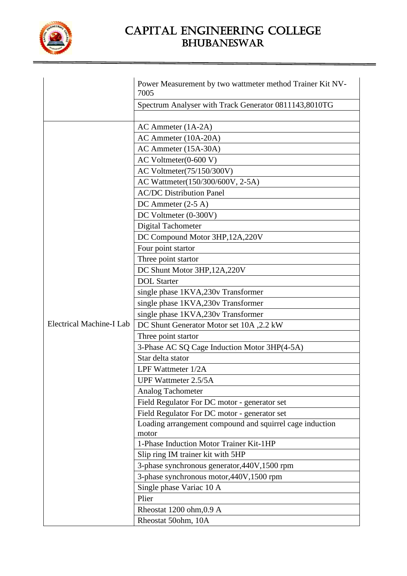

|                          | Power Measurement by two wattmeter method Trainer Kit NV-<br>7005 |  |
|--------------------------|-------------------------------------------------------------------|--|
|                          | Spectrum Analyser with Track Generator 0811143,8010TG             |  |
|                          |                                                                   |  |
|                          | $AC$ Ammeter $(1A-2A)$                                            |  |
|                          | AC Ammeter (10A-20A)                                              |  |
|                          | AC Ammeter (15A-30A)                                              |  |
|                          | $AC$ Voltmeter $(0-600 V)$                                        |  |
|                          | AC Voltmeter(75/150/300V)                                         |  |
|                          | AC Wattmeter(150/300/600V, 2-5A)                                  |  |
|                          | <b>AC/DC</b> Distribution Panel                                   |  |
|                          | DC Ammeter $(2-5 A)$                                              |  |
|                          | DC Voltmeter (0-300V)                                             |  |
|                          | <b>Digital Tachometer</b>                                         |  |
|                          | DC Compound Motor 3HP, 12A, 220V                                  |  |
|                          | Four point startor                                                |  |
|                          | Three point startor                                               |  |
|                          | DC Shunt Motor 3HP, 12A, 220V                                     |  |
|                          | <b>DOL</b> Starter                                                |  |
|                          | single phase 1KVA,230v Transformer                                |  |
|                          | single phase 1KVA,230v Transformer                                |  |
|                          | single phase 1KVA,230v Transformer                                |  |
| Electrical Machine-I Lab | DC Shunt Generator Motor set 10A, 2.2 kW                          |  |
|                          | Three point startor                                               |  |
|                          | 3-Phase AC SQ Cage Induction Motor 3HP(4-5A)                      |  |
|                          | Star delta stator                                                 |  |
|                          | LPF Wattmeter 1/2A                                                |  |
|                          | <b>UPF Wattmeter 2.5/5A</b>                                       |  |
|                          | Analog Tachometer                                                 |  |
|                          | Field Regulator For DC motor - generator set                      |  |
|                          | Field Regulator For DC motor - generator set                      |  |
|                          | Loading arrangement compound and squirrel cage induction          |  |
|                          | motor                                                             |  |
|                          | 1-Phase Induction Motor Trainer Kit-1HP                           |  |
|                          | Slip ring IM trainer kit with 5HP                                 |  |
|                          | 3-phase synchronous generator, 440V, 1500 rpm                     |  |
|                          | 3-phase synchronous motor, 440V, 1500 rpm                         |  |
|                          | Single phase Variac 10 A                                          |  |
|                          | Plier                                                             |  |
|                          | Rheostat 1200 ohm, 0.9 A                                          |  |
|                          | Rheostat 50ohm, 10A                                               |  |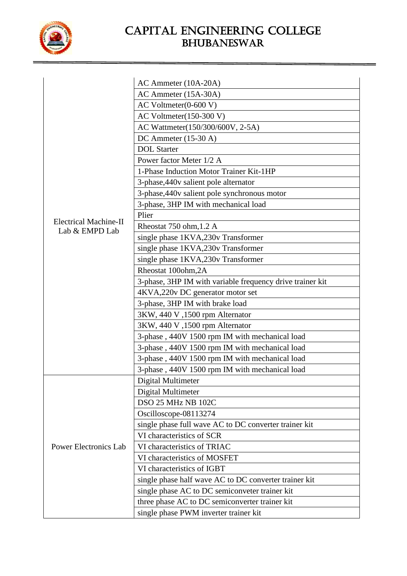

|                              | AC Ammeter (10A-20A)                                      |
|------------------------------|-----------------------------------------------------------|
|                              | AC Ammeter (15A-30A)                                      |
|                              | $AC$ Voltmeter $(0-600 V)$                                |
|                              | AC Voltmeter $(150-300 V)$                                |
|                              | AC Wattmeter(150/300/600V, 2-5A)                          |
|                              | DC Ammeter $(15-30 \text{ A})$                            |
|                              | <b>DOL</b> Starter                                        |
|                              | Power factor Meter 1/2 A                                  |
|                              | 1-Phase Induction Motor Trainer Kit-1HP                   |
|                              | 3-phase, 440v salient pole alternator                     |
|                              | 3-phase, 440v salient pole synchronous motor              |
|                              | 3-phase, 3HP IM with mechanical load                      |
|                              | Plier                                                     |
| <b>Electrical Machine-II</b> | Rheostat 750 ohm, 1.2 A                                   |
| Lab & EMPD Lab               | single phase 1KVA,230v Transformer                        |
|                              | single phase 1KVA,230v Transformer                        |
|                              | single phase 1KVA,230v Transformer                        |
|                              | Rheostat 100ohm, 2A                                       |
|                              | 3-phase, 3HP IM with variable frequency drive trainer kit |
|                              | 4KVA,220v DC generator motor set                          |
|                              | 3-phase, 3HP IM with brake load                           |
|                              | 3KW, 440 V, 1500 rpm Alternator                           |
|                              | 3KW, 440 V, 1500 rpm Alternator                           |
|                              | 3-phase, 440V 1500 rpm IM with mechanical load            |
|                              | 3-phase, 440V 1500 rpm IM with mechanical load            |
|                              | 3-phase, 440V 1500 rpm IM with mechanical load            |
|                              | 3-phase, 440V 1500 rpm IM with mechanical load            |
|                              | Digital Multimeter                                        |
|                              | Digital Multimeter                                        |
|                              | DSO 25 MHz NB 102C                                        |
|                              | Oscilloscope-08113274                                     |
|                              | single phase full wave AC to DC converter trainer kit     |
|                              | VI characteristics of SCR                                 |
| <b>Power Electronics Lab</b> | VI characteristics of TRIAC                               |
|                              | VI characteristics of MOSFET                              |
|                              | VI characteristics of IGBT                                |
|                              | single phase half wave AC to DC converter trainer kit     |
|                              | single phase AC to DC semiconveter trainer kit            |
|                              | three phase AC to DC semiconverter trainer kit            |
|                              | single phase PWM inverter trainer kit                     |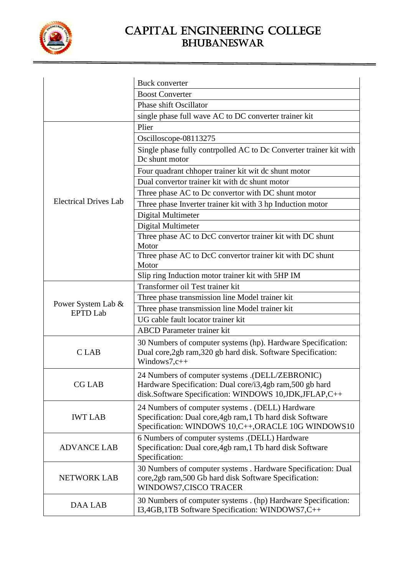

|                                       | <b>Buck converter</b>                                                                                                                                                |  |
|---------------------------------------|----------------------------------------------------------------------------------------------------------------------------------------------------------------------|--|
|                                       | <b>Boost Converter</b>                                                                                                                                               |  |
|                                       | Phase shift Oscillator                                                                                                                                               |  |
|                                       | single phase full wave AC to DC converter trainer kit                                                                                                                |  |
|                                       | Plier                                                                                                                                                                |  |
|                                       | Oscilloscope-08113275                                                                                                                                                |  |
|                                       | Single phase fully contrpolled AC to Dc Converter trainer kit with<br>Dc shunt motor                                                                                 |  |
|                                       | Four quadrant chhoper trainer kit wit dc shunt motor                                                                                                                 |  |
|                                       | Dual convertor trainer kit with dc shunt motor                                                                                                                       |  |
|                                       | Three phase AC to Dc convertor with DC shunt motor                                                                                                                   |  |
| <b>Electrical Drives Lab</b>          | Three phase Inverter trainer kit with 3 hp Induction motor                                                                                                           |  |
|                                       | Digital Multimeter                                                                                                                                                   |  |
|                                       | Digital Multimeter                                                                                                                                                   |  |
|                                       | Three phase AC to DcC convertor trainer kit with DC shunt<br>Motor                                                                                                   |  |
|                                       | Three phase AC to DcC convertor trainer kit with DC shunt<br>Motor                                                                                                   |  |
|                                       | Slip ring Induction motor trainer kit with 5HP IM                                                                                                                    |  |
|                                       | Transformer oil Test trainer kit                                                                                                                                     |  |
|                                       | Three phase transmission line Model trainer kit                                                                                                                      |  |
| Power System Lab &<br><b>EPTD Lab</b> | Three phase transmission line Model trainer kit                                                                                                                      |  |
|                                       | UG cable fault locator trainer kit                                                                                                                                   |  |
|                                       | <b>ABCD</b> Parameter trainer kit                                                                                                                                    |  |
| C LAB                                 | 30 Numbers of computer systems (hp). Hardware Specification:<br>Dual core, 2gb ram, 320 gb hard disk. Software Specification:<br>Windows7,c++                        |  |
| <b>CG LAB</b>                         | 24 Numbers of computer systems .(DELL/ZEBRONIC)<br>Hardware Specification: Dual core/i3,4gb ram,500 gb hard<br>disk.Software Specification: WINDOWS 10,JDK,JFLAP,C++ |  |
| <b>IWT LAB</b>                        | 24 Numbers of computer systems . (DELL) Hardware<br>Specification: Dual core, 4gb ram, 1 Tb hard disk Software<br>Specification: WINDOWS 10,C++,ORACLE 10G WINDOWS10 |  |
| <b>ADVANCE LAB</b>                    | 6 Numbers of computer systems .(DELL) Hardware<br>Specification: Dual core, 4gb ram, 1 Tb hard disk Software<br>Specification:                                       |  |
| <b>NETWORK LAB</b>                    | 30 Numbers of computer systems . Hardware Specification: Dual<br>core, 2gb ram, 500 Gb hard disk Software Specification:<br>WINDOWS7,CISCO TRACER                    |  |
| <b>DAA LAB</b>                        | 30 Numbers of computer systems . (hp) Hardware Specification:<br>I3,4GB,1TB Software Specification: WINDOWS7,C++                                                     |  |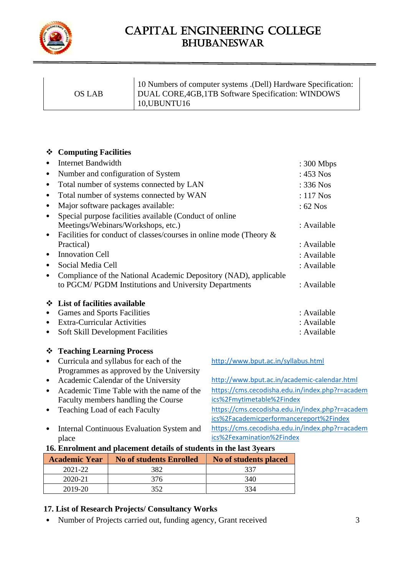

| OS LAB | 10 Numbers of computer systems . (Dell) Hardware Specification:<br>DUAL CORE, 4GB, 1TB Software Specification: WINDOWS<br>10, UBUNTU16 |
|--------|----------------------------------------------------------------------------------------------------------------------------------------|
|        |                                                                                                                                        |

#### ❖ **Computing Facilities**

|           | <b>Internet Bandwidth</b>                                             | : 300 Mbps  |
|-----------|-----------------------------------------------------------------------|-------------|
| ٠         | Number and configuration of System                                    | $: 453$ Nos |
| ٠         | Total number of systems connected by LAN                              | $: 336$ Nos |
| ٠         | Total number of systems connected by WAN                              | $: 117$ Nos |
| ٠         | Major software packages available:                                    | $: 62$ Nos  |
| $\bullet$ | Special purpose facilities available (Conduct of online               |             |
|           | Meetings/Webinars/Workshops, etc.)                                    | : Available |
| $\bullet$ | Facilities for conduct of classes/courses in online mode (Theory $\&$ |             |
|           | Practical)                                                            | : Available |
| ٠         | <b>Innovation Cell</b>                                                | : Available |
| ٠         | Social Media Cell                                                     | : Available |
| ٠         | Compliance of the National Academic Depository (NAD), applicable      |             |
|           | to PGCM/PGDM Institutions and University Departments                  | : Available |
| ❖         | List of facilities available                                          |             |
| ٠         | <b>Games and Sports Facilities</b>                                    | : Available |
| ٠         | <b>Extra-Curricular Activities</b>                                    | : Available |
| ٠         | <b>Soft Skill Development Facilities</b>                              | : Available |
|           | ❖ Teaching Learning Process                                           |             |

<http://www.bput.ac.in/syllabus.html>

[ics%2Fmytimetable%2Findex](https://cms.cecodisha.edu.in/index.php?r=academics%2Fmytimetable%2Findex)

[ics%2Fexamination%2Findex](https://cms.cecodisha.edu.in/index.php?r=academics%2Fexamination%2Findex)

[https://cms.cecodisha.edu.in/index.php?r=academ](https://cms.cecodisha.edu.in/index.php?r=academics%2Fmytimetable%2Findex)

[https://cms.cecodisha.edu.in/index.php?r=academ](https://cms.cecodisha.edu.in/index.php?r=academics%2Fexamination%2Findex)

[ics%2Facademicperformancereport%2Findex](https://cms.cecodisha.edu.in/index.php?r=academics%2Facademicperformancereport%2Findex)

- Curricula and syllabus for each of the Programmes as approved by the University
- Academic Calendar of the University <http://www.bput.ac.in/academic-calendar.html>
- Academic Time Table with the name of the Faculty members handling the Course
- Teaching Load of each Faculty [https://cms.cecodisha.edu.in/index.php?r=academ](https://cms.cecodisha.edu.in/index.php?r=academics%2Facademicperformancereport%2Findex)
- Internal Continuous Evaluation System and place

#### **16. Enrolment and placement details of students in the last 3years**

| <b>Academic Year</b> | <b>No of students Enrolled</b> | No of students placed |
|----------------------|--------------------------------|-----------------------|
| 2021-22              | 382                            | 337                   |
| 2020-21              | 376                            | 340                   |
| 2019-20              | 350                            | 334                   |

### **17. List of Research Projects/ Consultancy Works**

• Number of Projects carried out, funding agency, Grant received 3